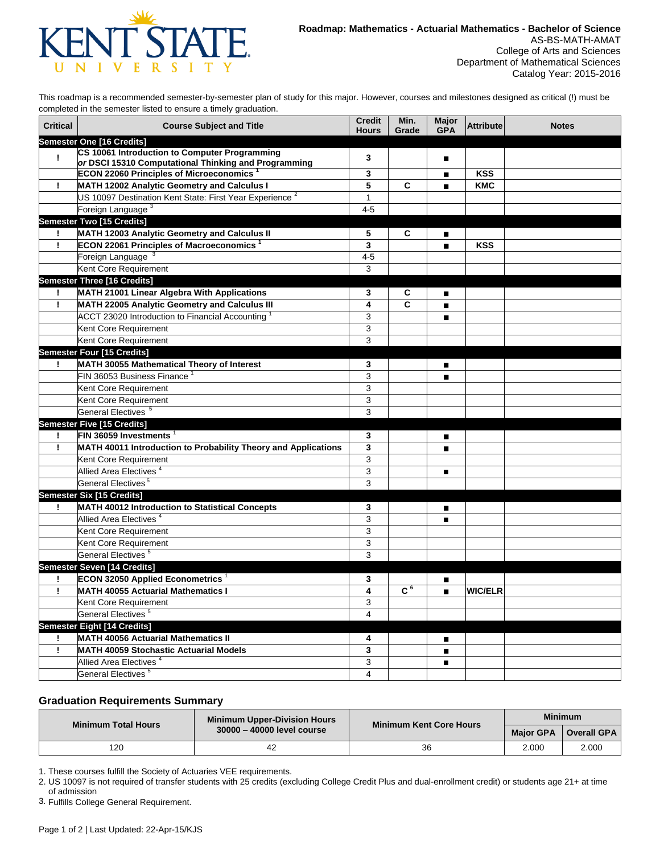

This roadmap is a recommended semester-by-semester plan of study for this major. However, courses and milestones designed as critical (!) must be completed in the semester listed to ensure a timely graduation.

| <b>Critical</b> | <b>Course Subject and Title</b>                                                                       | <b>Credit</b><br><b>Hours</b> | Min.<br>Grade  | <b>Major</b><br><b>GPA</b> | <b>Attribute</b> | <b>Notes</b> |
|-----------------|-------------------------------------------------------------------------------------------------------|-------------------------------|----------------|----------------------------|------------------|--------------|
|                 | Semester One [16 Credits]                                                                             |                               |                |                            |                  |              |
| Ţ               | CS 10061 Introduction to Computer Programming<br>or DSCI 15310 Computational Thinking and Programming | 3                             |                | п                          |                  |              |
|                 | ECON 22060 Principles of Microeconomics <sup>1</sup>                                                  | 3                             |                | п                          | <b>KSS</b>       |              |
| ÷               | MATH 12002 Analytic Geometry and Calculus I                                                           | 5                             | C              | $\blacksquare$             | <b>KMC</b>       |              |
|                 | US 10097 Destination Kent State: First Year Experience <sup>2</sup>                                   | $\mathbf{1}$                  |                |                            |                  |              |
|                 | Foreign Language <sup>3</sup>                                                                         | $4 - 5$                       |                |                            |                  |              |
|                 | Semester Two [15 Credits]                                                                             |                               |                |                            |                  |              |
| Ţ.              | MATH 12003 Analytic Geometry and Calculus II                                                          | 5                             | С              | $\blacksquare$             |                  |              |
| Ţ.              | ECON 22061 Principles of Macroeconomics <sup>1</sup>                                                  | 3                             |                | $\blacksquare$             | <b>KSS</b>       |              |
|                 | Foreign Language <sup>3</sup>                                                                         | $4 - 5$                       |                |                            |                  |              |
|                 | Kent Core Requirement                                                                                 | 3                             |                |                            |                  |              |
|                 | <b>Semester Three [16 Credits]</b>                                                                    |                               |                |                            |                  |              |
| Ι.              | MATH 21001 Linear Algebra With Applications                                                           | 3                             | С              | ■                          |                  |              |
| Ţ.              | MATH 22005 Analytic Geometry and Calculus III                                                         | 4                             | C              | $\blacksquare$             |                  |              |
|                 | ACCT 23020 Introduction to Financial Accounting $^1$                                                  | 3                             |                | $\blacksquare$             |                  |              |
|                 | Kent Core Requirement                                                                                 | 3                             |                |                            |                  |              |
|                 | Kent Core Requirement                                                                                 | 3                             |                |                            |                  |              |
|                 | <b>Semester Four [15 Credits]</b>                                                                     |                               |                |                            |                  |              |
| Ι.              | MATH 30055 Mathematical Theory of Interest                                                            | 3                             |                | ■                          |                  |              |
|                 | FIN 36053 Business Finance                                                                            | 3                             |                | п                          |                  |              |
|                 | Kent Core Requirement                                                                                 | 3                             |                |                            |                  |              |
|                 | Kent Core Requirement                                                                                 | 3                             |                |                            |                  |              |
|                 | General Electives <sup>5</sup>                                                                        | 3                             |                |                            |                  |              |
|                 | <b>Semester Five [15 Credits]</b>                                                                     |                               |                |                            |                  |              |
| Ţ               | FIN 36059 Investments $1$                                                                             | 3                             |                | ■                          |                  |              |
| Ţ               | MATH 40011 Introduction to Probability Theory and Applications                                        | 3                             |                | $\blacksquare$             |                  |              |
|                 | Kent Core Requirement                                                                                 | 3                             |                |                            |                  |              |
|                 | Allied Area Electives <sup>4</sup>                                                                    | 3                             |                | п                          |                  |              |
|                 | General Electives <sup>5</sup>                                                                        | 3                             |                |                            |                  |              |
|                 | <b>Semester Six [15 Credits]</b>                                                                      |                               |                |                            |                  |              |
| Τ.              | MATH 40012 Introduction to Statistical Concepts                                                       | 3                             |                | $\blacksquare$             |                  |              |
|                 | Allied Area Electives <sup>4</sup>                                                                    | 3                             |                | п                          |                  |              |
|                 | Kent Core Requirement                                                                                 | 3                             |                |                            |                  |              |
|                 | Kent Core Requirement                                                                                 | 3                             |                |                            |                  |              |
|                 | General Electives <sup>5</sup>                                                                        | 3                             |                |                            |                  |              |
|                 | Semester Seven [14 Credits]                                                                           |                               |                |                            |                  |              |
| Ţ               | <b>ECON 32050 Applied Econometrics</b>                                                                | 3                             |                | ■                          |                  |              |
| Ţ               | <b>MATH 40055 Actuarial Mathematics I</b>                                                             | 4                             | C <sub>6</sub> | $\blacksquare$             | <b>WIC/ELR</b>   |              |
|                 | Kent Core Requirement                                                                                 | 3                             |                |                            |                  |              |
|                 | General Electives <sup>5</sup>                                                                        | $\overline{4}$                |                |                            |                  |              |
|                 | <b>Semester Eight [14 Credits]</b>                                                                    |                               |                |                            |                  |              |
|                 | <b>MATH 40056 Actuarial Mathematics II</b>                                                            | 4                             |                | ■                          |                  |              |
| Ţ               | <b>MATH 40059 Stochastic Actuarial Models</b>                                                         | 3                             |                | $\blacksquare$             |                  |              |
|                 | Allied Area Electives <sup>4</sup>                                                                    | 3                             |                | п                          |                  |              |
|                 | General Electives <sup>5</sup>                                                                        | 4                             |                |                            |                  |              |

## **Graduation Requirements Summary**

| <b>Minimum Total Hours</b> | <b>Minimum Upper-Division Hours</b> | Minimum Kent Core Hours | <b>Minimum</b>   |                          |
|----------------------------|-------------------------------------|-------------------------|------------------|--------------------------|
|                            | 30000 - 40000 level course          |                         | <b>Major GPA</b> | <sup>™</sup> Overall GPA |
| 120                        |                                     | 36                      | 2.000            | 2.000                    |

1. These courses fulfill the Society of Actuaries VEE requirements.

2. US 10097 is not required of transfer students with 25 credits (excluding College Credit Plus and dual-enrollment credit) or students age 21+ at time of admission

3. Fulfills College General Requirement.